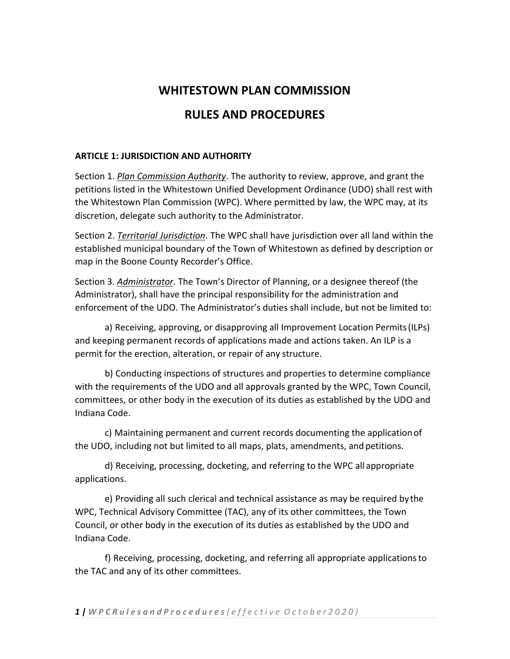# **WHITESTOWN PLAN COMMISSION**

# **RULES AND PROCEDURES**

### **ARTICLE 1: JURISDICTION AND AUTHORITY**

Section 1. *Plan Commission Authority*. The authority to review, approve, and grant the petitions listed in the Whitestown Unified Development Ordinance (UDO) shall rest with the Whitestown Plan Commission (WPC). Where permitted by law, the WPC may, at its discretion, delegate such authority to the Administrator.

Section 2. *Territorial Jurisdiction*. The WPC shall have jurisdiction over all land within the established municipal boundary of the Town of Whitestown as defined by description or map in the Boone County Recorder's Office.

Section 3. *Administrator*. The Town's Director of Planning, or a designee thereof (the Administrator), shall have the principal responsibility for the administration and enforcement of the UDO. The Administrator's duties shall include, but not be limited to:

a) Receiving, approving, or disapproving all Improvement Location Permits(ILPs) and keeping permanent records of applications made and actions taken. An ILP is a permit for the erection, alteration, or repair of any structure.

b) Conducting inspections of structures and properties to determine compliance with the requirements of the UDO and all approvals granted by the WPC, Town Council, committees, or other body in the execution of its duties as established by the UDO and Indiana Code.

c) Maintaining permanent and current records documenting the applicationof the UDO, including not but limited to all maps, plats, amendments, and petitions.

d) Receiving, processing, docketing, and referring to the WPC all appropriate applications.

e) Providing all such clerical and technical assistance as may be required bythe WPC, Technical Advisory Committee (TAC), any of its other committees, the Town Council, or other body in the execution of its duties as established by the UDO and Indiana Code.

f) Receiving, processing, docketing, and referring all appropriate applicationsto the TAC and any of its other committees.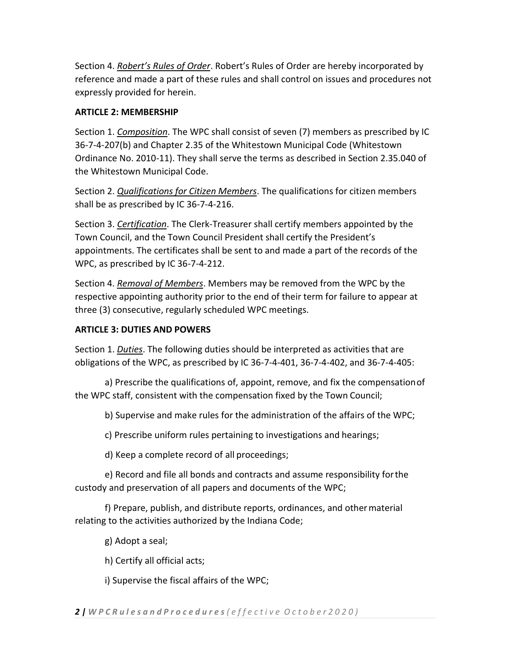Section 4. *Robert's Rules of Order*. Robert's Rules of Order are hereby incorporated by reference and made a part of these rules and shall control on issues and procedures not expressly provided for herein.

## **ARTICLE 2: MEMBERSHIP**

Section 1. *Composition*. The WPC shall consist of seven (7) members as prescribed by IC 36-7-4-207(b) and Chapter 2.35 of the Whitestown Municipal Code (Whitestown Ordinance No. 2010-11). They shall serve the terms as described in Section 2.35.040 of the Whitestown Municipal Code.

Section 2. *Qualifications for Citizen Members*. The qualifications for citizen members shall be as prescribed by IC 36-7-4-216.

Section 3. *Certification*. The Clerk-Treasurer shall certify members appointed by the Town Council, and the Town Council President shall certify the President's appointments. The certificates shall be sent to and made a part of the records of the WPC, as prescribed by IC 36-7-4-212.

Section 4. *Removal of Members*. Members may be removed from the WPC by the respective appointing authority prior to the end of their term for failure to appear at three (3) consecutive, regularly scheduled WPC meetings.

## **ARTICLE 3: DUTIES AND POWERS**

Section 1. *Duties*. The following duties should be interpreted as activities that are obligations of the WPC, as prescribed by IC 36-7-4-401, 36-7-4-402, and 36-7-4-405:

a) Prescribe the qualifications of, appoint, remove, and fix the compensationof the WPC staff, consistent with the compensation fixed by the Town Council;

b) Supervise and make rules for the administration of the affairs of the WPC;

c) Prescribe uniform rules pertaining to investigations and hearings;

d) Keep a complete record of all proceedings;

e) Record and file all bonds and contracts and assume responsibility forthe custody and preservation of all papers and documents of the WPC;

f) Prepare, publish, and distribute reports, ordinances, and othermaterial relating to the activities authorized by the Indiana Code;

g) Adopt a seal;

h) Certify all official acts;

i) Supervise the fiscal affairs of the WPC;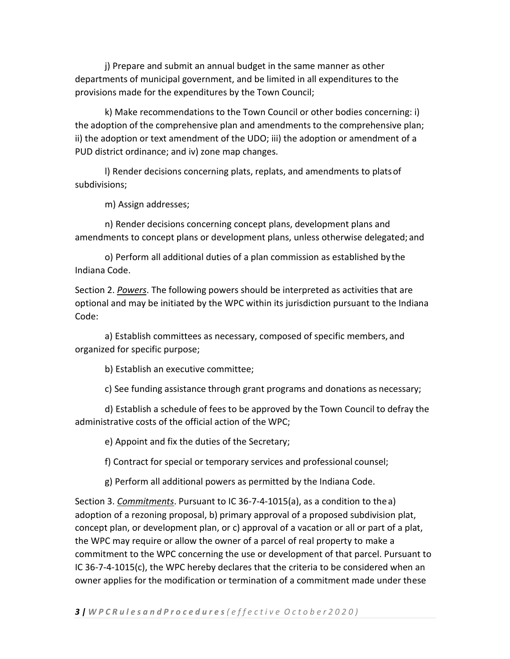j) Prepare and submit an annual budget in the same manner as other departments of municipal government, and be limited in all expenditures to the provisions made for the expenditures by the Town Council;

k) Make recommendations to the Town Council or other bodies concerning: i) the adoption of the comprehensive plan and amendments to the comprehensive plan; ii) the adoption or text amendment of the UDO; iii) the adoption or amendment of a PUD district ordinance; and iv) zone map changes.

l) Render decisions concerning plats, replats, and amendments to platsof subdivisions;

m) Assign addresses;

n) Render decisions concerning concept plans, development plans and amendments to concept plans or development plans, unless otherwise delegated; and

o) Perform all additional duties of a plan commission as established by the Indiana Code.

Section 2. *Powers*. The following powers should be interpreted as activities that are optional and may be initiated by the WPC within its jurisdiction pursuant to the Indiana Code:

a) Establish committees as necessary, composed of specific members, and organized for specific purpose;

b) Establish an executive committee;

c) See funding assistance through grant programs and donations as necessary;

d) Establish a schedule of fees to be approved by the Town Council to defray the administrative costs of the official action of the WPC;

e) Appoint and fix the duties of the Secretary;

f) Contract for special or temporary services and professional counsel;

g) Perform all additional powers as permitted by the Indiana Code.

Section 3. *Commitments*. Pursuant to IC 36-7-4-1015(a), as a condition to thea) adoption of a rezoning proposal, b) primary approval of a proposed subdivision plat, concept plan, or development plan, or c) approval of a vacation or all or part of a plat, the WPC may require or allow the owner of a parcel of real property to make a commitment to the WPC concerning the use or development of that parcel. Pursuant to IC 36-7-4-1015(c), the WPC hereby declares that the criteria to be considered when an owner applies for the modification or termination of a commitment made under these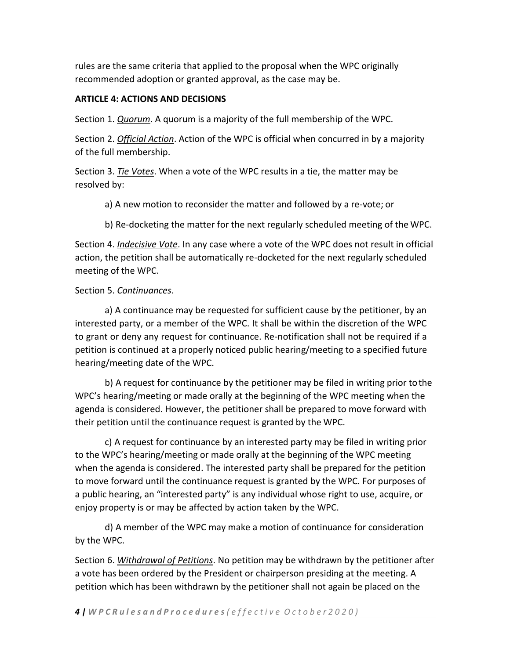rules are the same criteria that applied to the proposal when the WPC originally recommended adoption or granted approval, as the case may be.

### **ARTICLE 4: ACTIONS AND DECISIONS**

Section 1. *Quorum*. A quorum is a majority of the full membership of the WPC.

Section 2. *Official Action*. Action of the WPC is official when concurred in by a majority of the full membership.

Section 3. *Tie Votes*. When a vote of the WPC results in a tie, the matter may be resolved by:

a) A new motion to reconsider the matter and followed by a re-vote; or

b) Re-docketing the matter for the next regularly scheduled meeting of the WPC.

Section 4. *Indecisive Vote*. In any case where a vote of the WPC does not result in official action, the petition shall be automatically re-docketed for the next regularly scheduled meeting of the WPC.

### Section 5. *Continuances*.

a) A continuance may be requested for sufficient cause by the petitioner, by an interested party, or a member of the WPC. It shall be within the discretion of the WPC to grant or deny any request for continuance. Re-notification shall not be required if a petition is continued at a properly noticed public hearing/meeting to a specified future hearing/meeting date of the WPC.

b) A request for continuance by the petitioner may be filed in writing prior tothe WPC's hearing/meeting or made orally at the beginning of the WPC meeting when the agenda is considered. However, the petitioner shall be prepared to move forward with their petition until the continuance request is granted by the WPC.

c) A request for continuance by an interested party may be filed in writing prior to the WPC's hearing/meeting or made orally at the beginning of the WPC meeting when the agenda is considered. The interested party shall be prepared for the petition to move forward until the continuance request is granted by the WPC. For purposes of a public hearing, an "interested party" is any individual whose right to use, acquire, or enjoy property is or may be affected by action taken by the WPC.

d) A member of the WPC may make a motion of continuance for consideration by the WPC.

Section 6. *Withdrawal of Petitions*. No petition may be withdrawn by the petitioner after a vote has been ordered by the President or chairperson presiding at the meeting. A petition which has been withdrawn by the petitioner shall not again be placed on the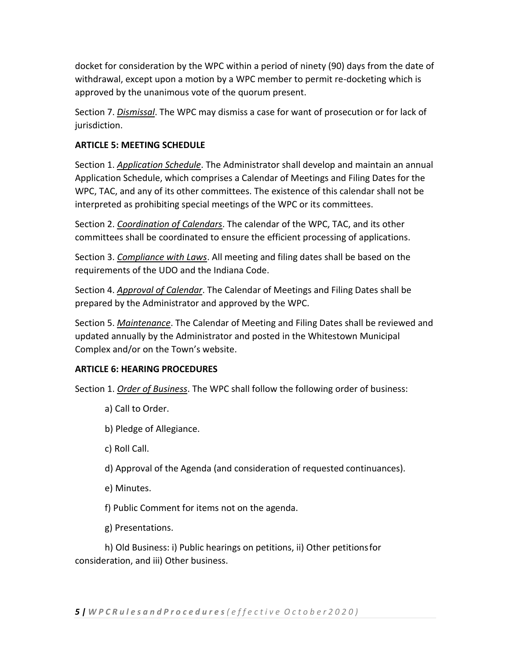docket for consideration by the WPC within a period of ninety (90) days from the date of withdrawal, except upon a motion by a WPC member to permit re-docketing which is approved by the unanimous vote of the quorum present.

Section 7. *Dismissal*. The WPC may dismiss a case for want of prosecution or for lack of jurisdiction.

### **ARTICLE 5: MEETING SCHEDULE**

Section 1. *Application Schedule*. The Administrator shall develop and maintain an annual Application Schedule, which comprises a Calendar of Meetings and Filing Dates for the WPC, TAC, and any of its other committees. The existence of this calendar shall not be interpreted as prohibiting special meetings of the WPC or its committees.

Section 2. *Coordination of Calendars*. The calendar of the WPC, TAC, and its other committees shall be coordinated to ensure the efficient processing of applications.

Section 3. *Compliance with Laws*. All meeting and filing dates shall be based on the requirements of the UDO and the Indiana Code.

Section 4. *Approval of Calendar*. The Calendar of Meetings and Filing Dates shall be prepared by the Administrator and approved by the WPC.

Section 5. *Maintenance*. The Calendar of Meeting and Filing Dates shall be reviewed and updated annually by the Administrator and posted in the Whitestown Municipal Complex and/or on the Town's website.

### **ARTICLE 6: HEARING PROCEDURES**

Section 1. *Order of Business*. The WPC shall follow the following order of business:

- a) Call to Order.
- b) Pledge of Allegiance.
- c) Roll Call.
- d) Approval of the Agenda (and consideration of requested continuances).
- e) Minutes.
- f) Public Comment for items not on the agenda.
- g) Presentations.

h) Old Business: i) Public hearings on petitions, ii) Other petitionsfor consideration, and iii) Other business.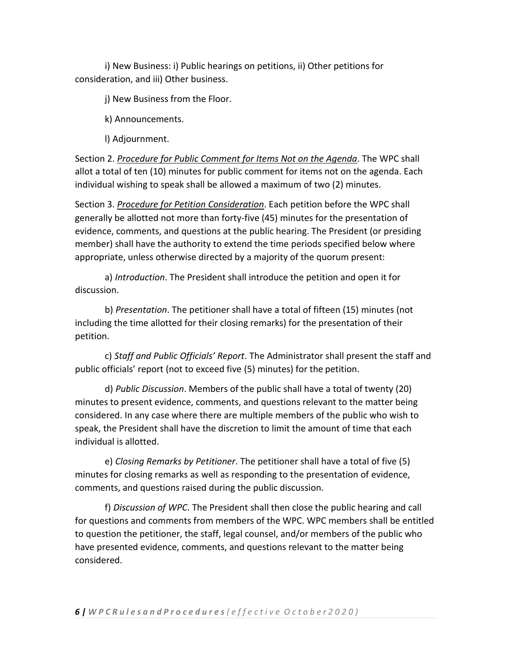i) New Business: i) Public hearings on petitions, ii) Other petitions for consideration, and iii) Other business.

j) New Business from the Floor.

k) Announcements.

l) Adjournment.

Section 2. *Procedure for Public Comment for Items Not on the Agenda*. The WPC shall allot a total of ten (10) minutes for public comment for items not on the agenda. Each individual wishing to speak shall be allowed a maximum of two (2) minutes.

Section 3. *Procedure for Petition Consideration*. Each petition before the WPC shall generally be allotted not more than forty-five (45) minutes for the presentation of evidence, comments, and questions at the public hearing. The President (or presiding member) shall have the authority to extend the time periods specified below where appropriate, unless otherwise directed by a majority of the quorum present:

a) *Introduction*. The President shall introduce the petition and open it for discussion.

b) *Presentation*. The petitioner shall have a total of fifteen (15) minutes (not including the time allotted for their closing remarks) for the presentation of their petition.

c) *Staff and Public Officials' Report*. The Administrator shall present the staff and public officials' report (not to exceed five (5) minutes) for the petition.

d) *Public Discussion*. Members of the public shall have a total of twenty (20) minutes to present evidence, comments, and questions relevant to the matter being considered. In any case where there are multiple members of the public who wish to speak, the President shall have the discretion to limit the amount of time that each individual is allotted.

e) *Closing Remarks by Petitioner*. The petitioner shall have a total of five (5) minutes for closing remarks as well as responding to the presentation of evidence, comments, and questions raised during the public discussion.

f) *Discussion of WPC*. The President shall then close the public hearing and call for questions and comments from members of the WPC. WPC members shall be entitled to question the petitioner, the staff, legal counsel, and/or members of the public who have presented evidence, comments, and questions relevant to the matter being considered.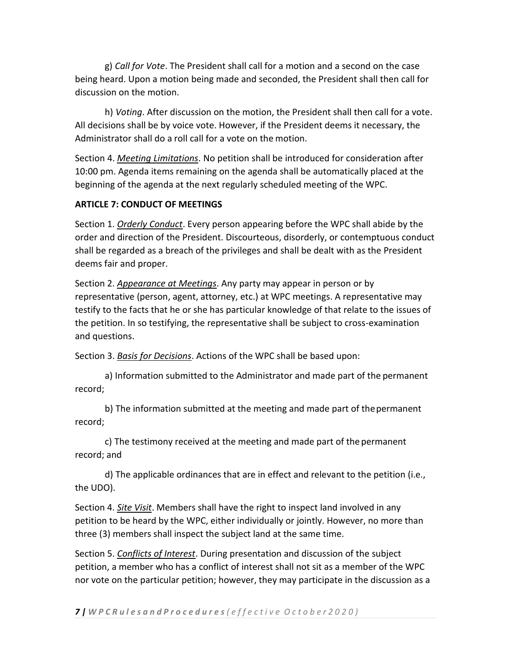g) *Call for Vote*. The President shall call for a motion and a second on the case being heard. Upon a motion being made and seconded, the President shall then call for discussion on the motion.

h) *Voting*. After discussion on the motion, the President shall then call for a vote. All decisions shall be by voice vote. However, if the President deems it necessary, the Administrator shall do a roll call for a vote on the motion.

Section 4. *Meeting Limitations*. No petition shall be introduced for consideration after 10:00 pm. Agenda items remaining on the agenda shall be automatically placed at the beginning of the agenda at the next regularly scheduled meeting of the WPC.

#### **ARTICLE 7: CONDUCT OF MEETINGS**

Section 1. *Orderly Conduct*. Every person appearing before the WPC shall abide by the order and direction of the President. Discourteous, disorderly, or contemptuous conduct shall be regarded as a breach of the privileges and shall be dealt with as the President deems fair and proper.

Section 2. *Appearance at Meetings*. Any party may appear in person or by representative (person, agent, attorney, etc.) at WPC meetings. A representative may testify to the facts that he or she has particular knowledge of that relate to the issues of the petition. In so testifying, the representative shall be subject to cross-examination and questions.

Section 3. *Basis for Decisions*. Actions of the WPC shall be based upon:

a) Information submitted to the Administrator and made part of the permanent record;

record; b) The information submitted at the meeting and made part of thepermanent

c) The testimony received at the meeting and made part of thepermanent record; and

d) The applicable ordinances that are in effect and relevant to the petition (i.e., the UDO).

Section 4. *Site Visit*. Members shall have the right to inspect land involved in any petition to be heard by the WPC, either individually or jointly. However, no more than three (3) members shall inspect the subject land at the same time.

Section 5. *Conflicts of Interest*. During presentation and discussion of the subject petition, a member who has a conflict of interest shall not sit as a member of the WPC nor vote on the particular petition; however, they may participate in the discussion as a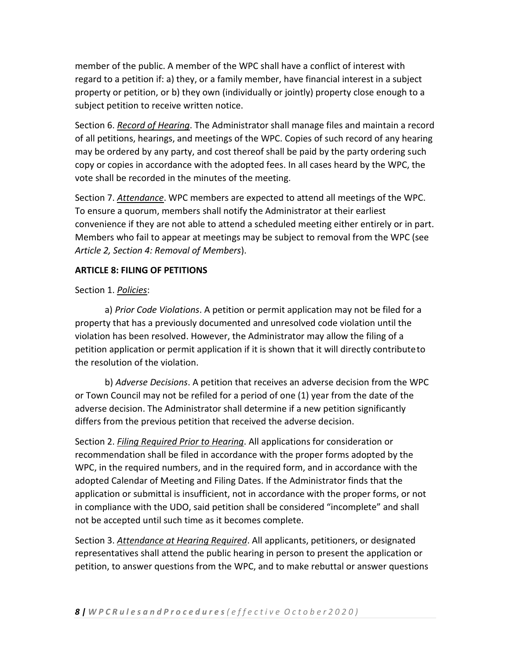member of the public. A member of the WPC shall have a conflict of interest with regard to a petition if: a) they, or a family member, have financial interest in a subject property or petition, or b) they own (individually or jointly) property close enough to a subject petition to receive written notice.

Section 6. *Record of Hearing*. The Administrator shall manage files and maintain a record of all petitions, hearings, and meetings of the WPC. Copies of such record of any hearing may be ordered by any party, and cost thereof shall be paid by the party ordering such copy or copies in accordance with the adopted fees. In all cases heard by the WPC, the vote shall be recorded in the minutes of the meeting.

Section 7. *Attendance*. WPC members are expected to attend all meetings of the WPC. To ensure a quorum, members shall notify the Administrator at their earliest convenience if they are not able to attend a scheduled meeting either entirely or in part. Members who fail to appear at meetings may be subject to removal from the WPC (see *Article 2, Section 4: Removal of Members*).

# **ARTICLE 8: FILING OF PETITIONS**

# Section 1. *Policies*:

a) *Prior Code Violations*. A petition or permit application may not be filed for a property that has a previously documented and unresolved code violation until the violation has been resolved. However, the Administrator may allow the filing of a petition application or permit application if it is shown that it will directly contributeto the resolution of the violation.

b) *Adverse Decisions*. A petition that receives an adverse decision from the WPC or Town Council may not be refiled for a period of one (1) year from the date of the adverse decision. The Administrator shall determine if a new petition significantly differs from the previous petition that received the adverse decision.

Section 2. *Filing Required Prior to Hearing*. All applications for consideration or recommendation shall be filed in accordance with the proper forms adopted by the WPC, in the required numbers, and in the required form, and in accordance with the adopted Calendar of Meeting and Filing Dates. If the Administrator finds that the application or submittal is insufficient, not in accordance with the proper forms, or not in compliance with the UDO, said petition shall be considered "incomplete" and shall not be accepted until such time as it becomes complete.

Section 3. *Attendance at Hearing Required*. All applicants, petitioners, or designated representatives shall attend the public hearing in person to present the application or petition, to answer questions from the WPC, and to make rebuttal or answer questions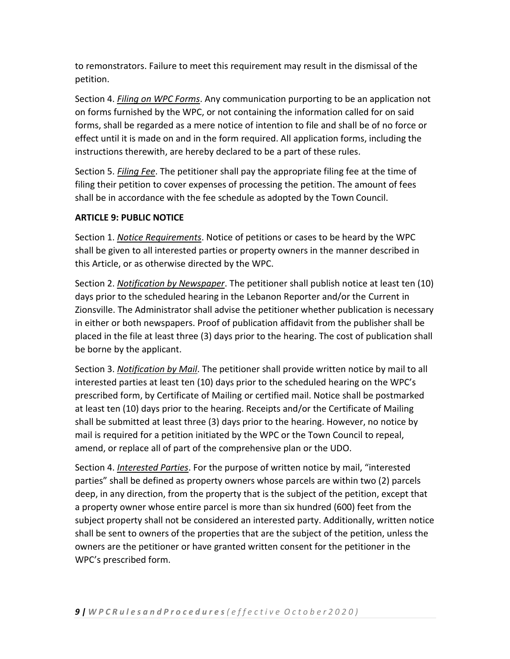to remonstrators. Failure to meet this requirement may result in the dismissal of the petition.

Section 4. *Filing on WPC Forms*. Any communication purporting to be an application not on forms furnished by the WPC, or not containing the information called for on said forms, shall be regarded as a mere notice of intention to file and shall be of no force or effect until it is made on and in the form required. All application forms, including the instructions therewith, are hereby declared to be a part of these rules.

Section 5. *Filing Fee*. The petitioner shall pay the appropriate filing fee at the time of filing their petition to cover expenses of processing the petition. The amount of fees shall be in accordance with the fee schedule as adopted by the Town Council.

### **ARTICLE 9: PUBLIC NOTICE**

Section 1. *Notice Requirements*. Notice of petitions or cases to be heard by the WPC shall be given to all interested parties or property owners in the manner described in this Article, or as otherwise directed by the WPC.

Section 2. *Notification by Newspaper*. The petitioner shall publish notice at least ten (10) days prior to the scheduled hearing in the Lebanon Reporter and/or the Current in Zionsville. The Administrator shall advise the petitioner whether publication is necessary in either or both newspapers. Proof of publication affidavit from the publisher shall be placed in the file at least three (3) days prior to the hearing. The cost of publication shall be borne by the applicant.

Section 3. *Notification by Mail*. The petitioner shall provide written notice by mail to all interested parties at least ten (10) days prior to the scheduled hearing on the WPC's prescribed form, by Certificate of Mailing or certified mail. Notice shall be postmarked at least ten (10) days prior to the hearing. Receipts and/or the Certificate of Mailing shall be submitted at least three (3) days prior to the hearing. However, no notice by mail is required for a petition initiated by the WPC or the Town Council to repeal, amend, or replace all of part of the comprehensive plan or the UDO.

Section 4. *Interested Parties*. For the purpose of written notice by mail, "interested parties" shall be defined as property owners whose parcels are within two (2) parcels deep, in any direction, from the property that is the subject of the petition, except that a property owner whose entire parcel is more than six hundred (600) feet from the subject property shall not be considered an interested party. Additionally, written notice shall be sent to owners of the properties that are the subject of the petition, unless the owners are the petitioner or have granted written consent for the petitioner in the WPC's prescribed form.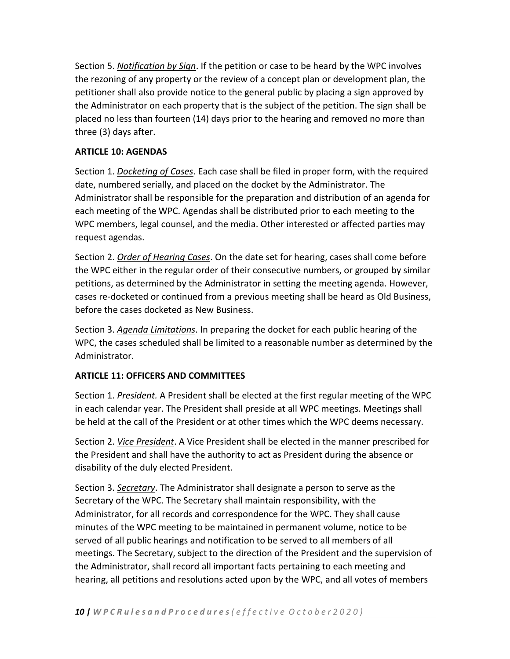Section 5. *Notification by Sign*. If the petition or case to be heard by the WPC involves the rezoning of any property or the review of a concept plan or development plan, the petitioner shall also provide notice to the general public by placing a sign approved by the Administrator on each property that is the subject of the petition. The sign shall be placed no less than fourteen (14) days prior to the hearing and removed no more than three (3) days after.

# **ARTICLE 10: AGENDAS**

Section 1. *Docketing of Cases*. Each case shall be filed in proper form, with the required date, numbered serially, and placed on the docket by the Administrator. The Administrator shall be responsible for the preparation and distribution of an agenda for each meeting of the WPC. Agendas shall be distributed prior to each meeting to the WPC members, legal counsel, and the media. Other interested or affected parties may request agendas.

Section 2. *Order of Hearing Cases*. On the date set for hearing, cases shall come before the WPC either in the regular order of their consecutive numbers, or grouped by similar petitions, as determined by the Administrator in setting the meeting agenda. However, cases re-docketed or continued from a previous meeting shall be heard as Old Business, before the cases docketed as New Business.

Section 3. *Agenda Limitations*. In preparing the docket for each public hearing of the WPC, the cases scheduled shall be limited to a reasonable number as determined by the Administrator.

# **ARTICLE 11: OFFICERS AND COMMITTEES**

Section 1. *President.* A President shall be elected at the first regular meeting of the WPC in each calendar year. The President shall preside at all WPC meetings. Meetings shall be held at the call of the President or at other times which the WPC deems necessary.

Section 2. *Vice President*. A Vice President shall be elected in the manner prescribed for the President and shall have the authority to act as President during the absence or disability of the duly elected President.

Section 3. *Secretary*. The Administrator shall designate a person to serve as the Secretary of the WPC. The Secretary shall maintain responsibility, with the Administrator, for all records and correspondence for the WPC. They shall cause minutes of the WPC meeting to be maintained in permanent volume, notice to be served of all public hearings and notification to be served to all members of all meetings. The Secretary, subject to the direction of the President and the supervision of the Administrator, shall record all important facts pertaining to each meeting and hearing, all petitions and resolutions acted upon by the WPC, and all votes of members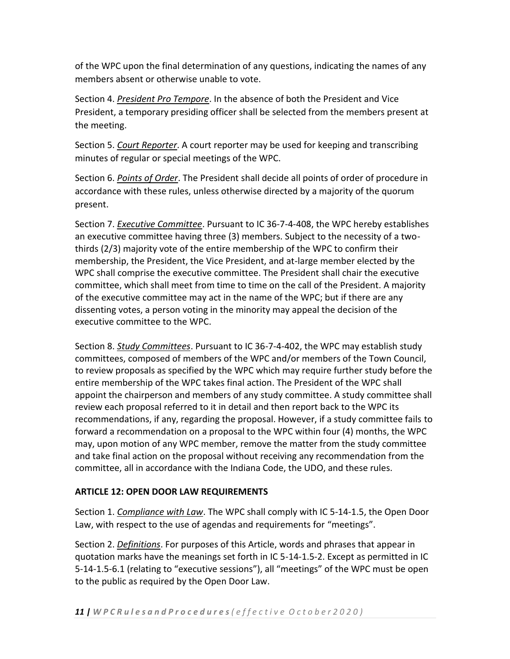of the WPC upon the final determination of any questions, indicating the names of any members absent or otherwise unable to vote.

Section 4. *President Pro Tempore*. In the absence of both the President and Vice President, a temporary presiding officer shall be selected from the members present at the meeting.

Section 5. *Court Reporter*. A court reporter may be used for keeping and transcribing minutes of regular or special meetings of the WPC.

Section 6. *Points of Order*. The President shall decide all points of order of procedure in accordance with these rules, unless otherwise directed by a majority of the quorum present.

Section 7. *Executive Committee*. Pursuant to IC 36-7-4-408, the WPC hereby establishes an executive committee having three (3) members. Subject to the necessity of a twothirds (2/3) majority vote of the entire membership of the WPC to confirm their membership, the President, the Vice President, and at-large member elected by the WPC shall comprise the executive committee. The President shall chair the executive committee, which shall meet from time to time on the call of the President. A majority of the executive committee may act in the name of the WPC; but if there are any dissenting votes, a person voting in the minority may appeal the decision of the executive committee to the WPC.

Section 8. *Study Committees*. Pursuant to IC 36-7-4-402, the WPC may establish study committees, composed of members of the WPC and/or members of the Town Council, to review proposals as specified by the WPC which may require further study before the entire membership of the WPC takes final action. The President of the WPC shall appoint the chairperson and members of any study committee. A study committee shall review each proposal referred to it in detail and then report back to the WPC its recommendations, if any, regarding the proposal. However, if a study committee fails to forward a recommendation on a proposal to the WPC within four (4) months, the WPC may, upon motion of any WPC member, remove the matter from the study committee and take final action on the proposal without receiving any recommendation from the committee, all in accordance with the Indiana Code, the UDO, and these rules.

# **ARTICLE 12: OPEN DOOR LAW REQUIREMENTS**

Section 1. *Compliance with Law*. The WPC shall comply with IC 5-14-1.5, the Open Door Law, with respect to the use of agendas and requirements for "meetings".

Section 2. *Definitions*. For purposes of this Article, words and phrases that appear in quotation marks have the meanings set forth in IC 5-14-1.5-2. Except as permitted in IC 5-14-1.5-6.1 (relating to "executive sessions"), all "meetings" of the WPC must be open to the public as required by the Open Door Law.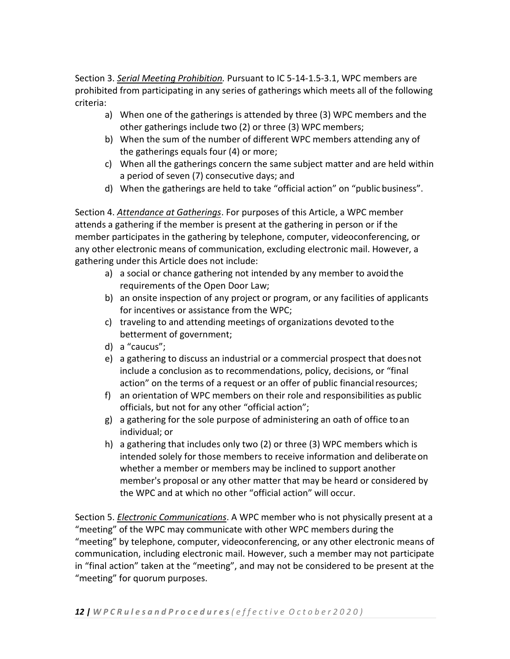Section 3. *Serial Meeting Prohibition.* Pursuant to IC 5-14-1.5-3.1, WPC members are prohibited from participating in any series of gatherings which meets all of the following criteria:

- a) When one of the gatherings is attended by three (3) WPC members and the other gatherings include two (2) or three (3) WPC members;
- b) When the sum of the number of different WPC members attending any of the gatherings equals four (4) or more;
- c) When all the gatherings concern the same subject matter and are held within a period of seven (7) consecutive days; and
- d) When the gatherings are held to take "official action" on "public business".

Section 4. *Attendance at Gatherings*. For purposes of this Article, a WPC member attends a gathering if the member is present at the gathering in person or if the member participates in the gathering by telephone, computer, videoconferencing, or any other electronic means of communication, excluding electronic mail. However, a gathering under this Article does not include:

- a) a social or chance gathering not intended by any member to avoidthe requirements of the Open Door Law;
- b) an onsite inspection of any project or program, or any facilities of applicants for incentives or assistance from the WPC;
- c) traveling to and attending meetings of organizations devoted tothe betterment of government;
- d) a "caucus";
- e) a gathering to discuss an industrial or a commercial prospect that doesnot include a conclusion as to recommendations, policy, decisions, or "final action" on the terms of a request or an offer of public financial resources;
- f) an orientation of WPC members on their role and responsibilities as public officials, but not for any other "official action";
- g) a gathering for the sole purpose of administering an oath of office toan individual; or
- h) a gathering that includes only two (2) or three (3) WPC members which is intended solely for those members to receive information and deliberate on whether a member or members may be inclined to support another member's proposal or any other matter that may be heard or considered by the WPC and at which no other "official action" will occur.

Section 5. *Electronic Communications*. A WPC member who is not physically present at a "meeting" of the WPC may communicate with other WPC members during the "meeting" by telephone, computer, videoconferencing, or any other electronic means of communication, including electronic mail. However, such a member may not participate in "final action" taken at the "meeting", and may not be considered to be present at the "meeting" for quorum purposes.